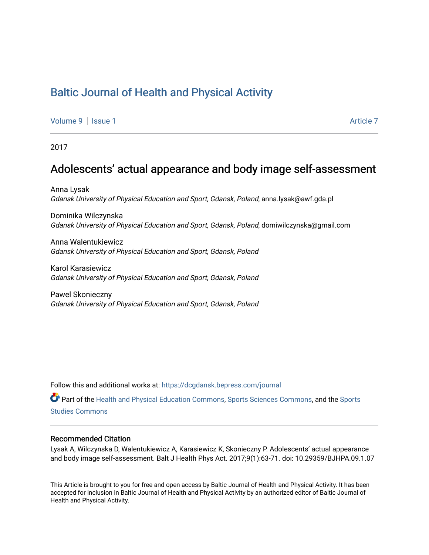# [Baltic Journal of Health and Physical Activity](https://dcgdansk.bepress.com/journal)

[Volume 9](https://dcgdansk.bepress.com/journal/vol9) | [Issue 1](https://dcgdansk.bepress.com/journal/vol9/iss1) Article 7

2017

## Adolescents' actual appearance and body image self-assessment

Anna Lysak Gdansk University of Physical Education and Sport, Gdansk, Poland, anna.lysak@awf.gda.pl

Dominika Wilczynska Gdansk University of Physical Education and Sport, Gdansk, Poland, domiwilczynska@gmail.com

Anna Walentukiewicz Gdansk University of Physical Education and Sport, Gdansk, Poland

Karol Karasiewicz Gdansk University of Physical Education and Sport, Gdansk, Poland

Pawel Skonieczny Gdansk University of Physical Education and Sport, Gdansk, Poland

Follow this and additional works at: [https://dcgdansk.bepress.com/journal](https://dcgdansk.bepress.com/journal?utm_source=dcgdansk.bepress.com%2Fjournal%2Fvol9%2Fiss1%2F7&utm_medium=PDF&utm_campaign=PDFCoverPages)

Part of the [Health and Physical Education Commons](http://network.bepress.com/hgg/discipline/1327?utm_source=dcgdansk.bepress.com%2Fjournal%2Fvol9%2Fiss1%2F7&utm_medium=PDF&utm_campaign=PDFCoverPages), [Sports Sciences Commons](http://network.bepress.com/hgg/discipline/759?utm_source=dcgdansk.bepress.com%2Fjournal%2Fvol9%2Fiss1%2F7&utm_medium=PDF&utm_campaign=PDFCoverPages), and the [Sports](http://network.bepress.com/hgg/discipline/1198?utm_source=dcgdansk.bepress.com%2Fjournal%2Fvol9%2Fiss1%2F7&utm_medium=PDF&utm_campaign=PDFCoverPages)  [Studies Commons](http://network.bepress.com/hgg/discipline/1198?utm_source=dcgdansk.bepress.com%2Fjournal%2Fvol9%2Fiss1%2F7&utm_medium=PDF&utm_campaign=PDFCoverPages) 

#### Recommended Citation

Lysak A, Wilczynska D, Walentukiewicz A, Karasiewicz K, Skonieczny P. Adolescents' actual appearance and body image self-assessment. Balt J Health Phys Act. 2017;9(1):63-71. doi: 10.29359/BJHPA.09.1.07

This Article is brought to you for free and open access by Baltic Journal of Health and Physical Activity. It has been accepted for inclusion in Baltic Journal of Health and Physical Activity by an authorized editor of Baltic Journal of Health and Physical Activity.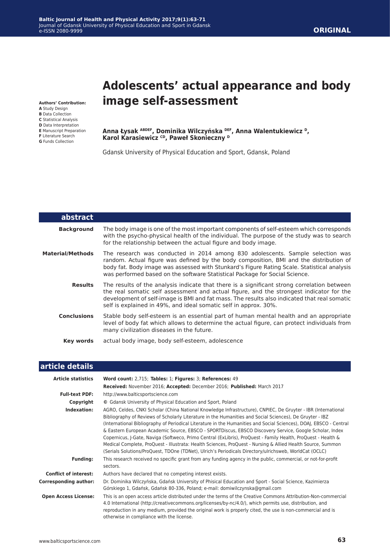#### **Baltic Journal of Health and Physical Activity 2017;9(1):63-71** Journal of Gdansk University of Physical Education and Sport in Gdansk e-ISSN 2080-9999

**Authors' Contribution: A** Study Design **B** Data Collection **C** Statistical Analysis **D** Data Interpretation **E** Manuscript Preparation **F** Literature Search **G** Funds Collection

# **Adolescents' actual appearance and body image self-assessment**

**Anna Łysak ABDEF, Dominika Wilczyńska DEF, Anna Walentukiewicz D, Karol Karasiewicz CD, Paweł Skonieczny <sup>D</sup>**

Gdansk University of Physical Education and Sport, Gdansk, Poland

| abstract           |                                                                                                                                                                                                                                                                                                                                                           |
|--------------------|-----------------------------------------------------------------------------------------------------------------------------------------------------------------------------------------------------------------------------------------------------------------------------------------------------------------------------------------------------------|
| <b>Background</b>  | The body image is one of the most important components of self-esteem which corresponds<br>with the psycho-physical health of the individual. The purpose of the study was to search<br>for the relationship between the actual figure and body image.                                                                                                    |
| Material/Methods   | The research was conducted in 2014 among 830 adolescents. Sample selection was<br>random. Actual figure was defined by the body composition, BMI and the distribution of<br>body fat. Body image was assessed with Stunkard's Figure Rating Scale. Statistical analysis<br>was performed based on the software Statistical Package for Social Science.    |
| <b>Results</b>     | The results of the analysis indicate that there is a significant strong correlation between<br>the real somatic self assessment and actual figure, and the strongest indicator for the<br>development of self-image is BMI and fat mass. The results also indicated that real somatic<br>self is explained in 49%, and ideal somatic self in approx. 30%. |
| <b>Conclusions</b> | Stable body self-esteem is an essential part of human mental health and an appropriate<br>level of body fat which allows to determine the actual figure, can protect individuals from<br>many civilization diseases in the future.                                                                                                                        |
| Key words          | actual body image, body self-esteem, adolescence                                                                                                                                                                                                                                                                                                          |

| article details              |                                                                                                                                                                                                                                                                                                                                                                                                                                                                                                                                                                                                                                                                                                                                                                                                      |  |  |  |
|------------------------------|------------------------------------------------------------------------------------------------------------------------------------------------------------------------------------------------------------------------------------------------------------------------------------------------------------------------------------------------------------------------------------------------------------------------------------------------------------------------------------------------------------------------------------------------------------------------------------------------------------------------------------------------------------------------------------------------------------------------------------------------------------------------------------------------------|--|--|--|
| <b>Article statistics</b>    | Word count: 2,715; Tables: 1; Figures: 3; References: 49                                                                                                                                                                                                                                                                                                                                                                                                                                                                                                                                                                                                                                                                                                                                             |  |  |  |
|                              | Received: November 2016; Accepted: December 2016; Published: March 2017                                                                                                                                                                                                                                                                                                                                                                                                                                                                                                                                                                                                                                                                                                                              |  |  |  |
| <b>Full-text PDF:</b>        | http://www.balticsportscience.com                                                                                                                                                                                                                                                                                                                                                                                                                                                                                                                                                                                                                                                                                                                                                                    |  |  |  |
| Copyright                    | © Gdansk University of Physical Education and Sport, Poland                                                                                                                                                                                                                                                                                                                                                                                                                                                                                                                                                                                                                                                                                                                                          |  |  |  |
| Indexation:                  | AGRO, Celdes, CNKI Scholar (China National Knowledge Infrastructure), CNPIEC, De Gruyter - IBR (International<br>Bibliography of Reviews of Scholarly Literature in the Humanities and Social Sciences), De Gruyter - IBZ<br>(International Bibliography of Periodical Literature in the Humanities and Social Sciences), DOAJ, EBSCO - Central<br>& Eastern European Academic Source, EBSCO - SPORTDiscus, EBSCO Discovery Service, Google Scholar, Index<br>Copernicus, J-Gate, Naviga (Softweco, Primo Central (ExLibris), ProQuest - Family Health, ProQuest - Health &<br>Medical Complete, ProQuest - Illustrata: Health Sciences, ProQuest - Nursing & Allied Health Source, Summon<br>(Serials Solutions/ProQuest, TDOne (TDNet), Ulrich's Periodicals Directory/ulrichsweb, WorldCat (OCLC) |  |  |  |
| <b>Funding:</b>              | This research received no specific grant from any funding agency in the public, commercial, or not-for-profit<br>sectors.                                                                                                                                                                                                                                                                                                                                                                                                                                                                                                                                                                                                                                                                            |  |  |  |
| <b>Conflict of interest:</b> | Authors have declared that no competing interest exists.                                                                                                                                                                                                                                                                                                                                                                                                                                                                                                                                                                                                                                                                                                                                             |  |  |  |
| <b>Corresponding author:</b> | Dr. Dominika Wilczyńska, Gdańsk University of Phisical Education and Sport - Social Science, Kazimierza<br>Górskiego 1, Gdańsk, Gdańsk 80-336, Poland; e-mail: domiwilczynska@gmail.com                                                                                                                                                                                                                                                                                                                                                                                                                                                                                                                                                                                                              |  |  |  |
| <b>Open Access License:</b>  | This is an open access article distributed under the terms of the Creative Commons Attribution-Non-commercial<br>4.0 International (http://creativecommons.org/licenses/by-nc/4.0/), which permits use, distribution, and<br>reproduction in any medium, provided the original work is properly cited, the use is non-commercial and is<br>otherwise in compliance with the license.                                                                                                                                                                                                                                                                                                                                                                                                                 |  |  |  |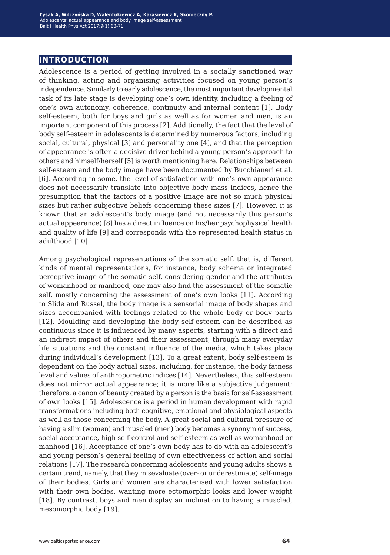### **introduction**

Adolescence is a period of getting involved in a socially sanctioned way of thinking, acting and organising activities focused on young person's independence. Similarly to early adolescence, the most important developmental task of its late stage is developing one's own identity, including a feeling of one's own autonomy, coherence, continuity and internal content [1]. Body self-esteem, both for boys and girls as well as for women and men, is an important component of this process [2]. Additionally, the fact that the level of body self-esteem in adolescents is determined by numerous factors, including social, cultural, physical [3] and personality one [4], and that the perception of appearance is often a decisive driver behind a young person's approach to others and himself/herself [5] is worth mentioning here. Relationships between self-esteem and the body image have been documented by Bucchianeri et al. [6]. According to some, the level of satisfaction with one's own appearance does not necessarily translate into objective body mass indices, hence the presumption that the factors of a positive image are not so much physical sizes but rather subjective beliefs concerning these sizes [7]. However, it is known that an adolescent's body image (and not necessarily this person's actual appearance) [8] has a direct influence on his/her psychophysical health and quality of life [9] and corresponds with the represented health status in adulthood [10].

Among psychological representations of the somatic self, that is, different kinds of mental representations, for instance, body schema or integrated perceptive image of the somatic self, considering gender and the attributes of womanhood or manhood, one may also find the assessment of the somatic self, mostly concerning the assessment of one's own looks [11]. According to Slide and Russel, the body image is a sensorial image of body shapes and sizes accompanied with feelings related to the whole body or body parts [12]. Moulding and developing the body self-esteem can be described as continuous since it is influenced by many aspects, starting with a direct and an indirect impact of others and their assessment, through many everyday life situations and the constant influence of the media, which takes place during individual's development [13]. To a great extent, body self-esteem is dependent on the body actual sizes, including, for instance, the body fatness level and values of anthropometric indices [14]. Nevertheless, this self-esteem does not mirror actual appearance; it is more like a subjective judgement; therefore, a canon of beauty created by a person is the basis for self-assessment of own looks [15]. Adolescence is a period in human development with rapid transformations including both cognitive, emotional and physiological aspects as well as those concerning the body. A great social and cultural pressure of having a slim (women) and muscled (men) body becomes a synonym of success, social acceptance, high self-control and self-esteem as well as womanhood or manhood [16]. Acceptance of one's own body has to do with an adolescent's and young person's general feeling of own effectiveness of action and social relations [17]. The research concerning adolescents and young adults shows a certain trend, namely, that they misevaluate (over- or underestimate) self-image of their bodies. Girls and women are characterised with lower satisfaction with their own bodies, wanting more ectomorphic looks and lower weight [18]. By contrast, boys and men display an inclination to having a muscled, mesomorphic body [19].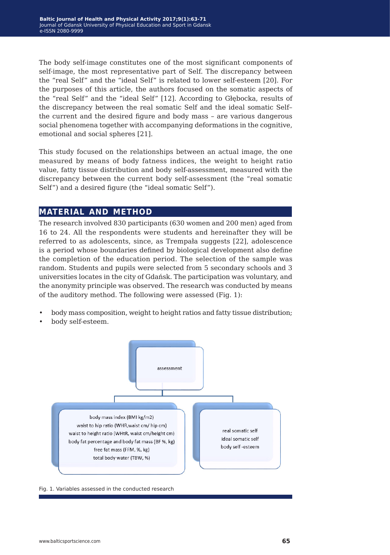The body self-image constitutes one of the most significant components of self-image, the most representative part of Self. The discrepancy between the "real Self" and the "ideal Self" is related to lower self-esteem [20]. For the purposes of this article, the authors focused on the somatic aspects of the "real Self" and the "ideal Self" [12]. According to Głębocka, results of the discrepancy between the real somatic Self and the ideal somatic Self– the current and the desired figure and body mass – are various dangerous social phenomena together with accompanying deformations in the cognitive, emotional and social spheres [21].

This study focused on the relationships between an actual image, the one measured by means of body fatness indices, the weight to height ratio value, fatty tissue distribution and body self-assessment, measured with the discrepancy between the current body self-assessment (the "real somatic Self") and a desired figure (the "ideal somatic Self").

#### **material and method**

The research involved 830 participants (630 women and 200 men) aged from 16 to 24. All the respondents were students and hereinafter they will be referred to as adolescents, since, as Trempała suggests [22], adolescence is a period whose boundaries defined by biological development also define the completion of the education period. The selection of the sample was random. Students and pupils were selected from 5 secondary schools and 3 universities locates in the city of Gdańsk. The participation was voluntary, and the anonymity principle was observed. The research was conducted by means of the auditory method. The following were assessed (Fig. 1):

- body mass composition, weight to height ratios and fatty tissue distribution;
- body self-esteem.



Fig. 1. Variables assessed in the conducted research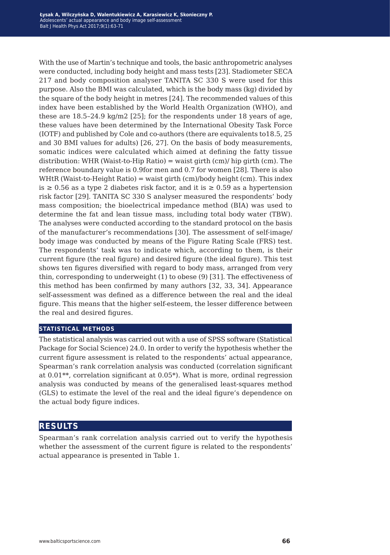With the use of Martin's technique and tools, the basic anthropometric analyses were conducted, including body height and mass tests [23]. Stadiometer SECA 217 and body composition analyser TANITA SC 330 S were used for this purpose. Also the BMI was calculated, which is the body mass (kg) divided by the square of the body height in metres [24]. The recommended values of this index have been established by the World Health Organization (WHO), and these are  $18.5-24.9 \text{ kg/m2}$  [25]; for the respondents under 18 years of age, these values have been determined by the International Obesity Task Force (IOTF) and published by Cole and co-authors (there are equivalents to18.5, 25 and 30 BMI values for adults) [26, 27]. On the basis of body measurements, somatic indices were calculated which aimed at defining the fatty tissue distribution: WHR (Waist-to-Hip Ratio) = waist girth  $\text{(cm)}$  hip girth  $\text{(cm)}$ . The reference boundary value is 0.9for men and 0.7 for women [28]. There is also WHtR (Waist-to-Height Ratio) = waist girth  $(cm)$ /body height  $(cm)$ . This index is ≥ 0.56 as a type 2 diabetes risk factor, and it is ≥ 0.59 as a hypertension risk factor [29]. TANITA SC 330 S analyser measured the respondents' body mass composition; the bioelectrical impedance method (BIA) was used to determine the fat and lean tissue mass, including total body water (TBW). The analyses were conducted according to the standard protocol on the basis of the manufacturer's recommendations [30]. The assessment of self-image/ body image was conducted by means of the Figure Rating Scale (FRS) test. The respondents' task was to indicate which, according to them, is their current figure (the real figure) and desired figure (the ideal figure). This test shows ten figures diversified with regard to body mass, arranged from very thin, corresponding to underweight (1) to obese (9) [31]. The effectiveness of this method has been confirmed by many authors [32, 33, 34]. Appearance self-assessment was defined as a difference between the real and the ideal figure. This means that the higher self-esteem, the lesser difference between the real and desired figures.

#### **statistical methods**

The statistical analysis was carried out with a use of SPSS software (Statistical Package for Social Science) 24.0. In order to verify the hypothesis whether the current figure assessment is related to the respondents' actual appearance, Spearman's rank correlation analysis was conducted (correlation significant at 0.01\*\*, correlation significant at 0.05\*). What is more, ordinal regression analysis was conducted by means of the generalised least-squares method (GLS) to estimate the level of the real and the ideal figure's dependence on the actual body figure indices.

#### **results**

Spearman's rank correlation analysis carried out to verify the hypothesis whether the assessment of the current figure is related to the respondents' actual appearance is presented in Table 1.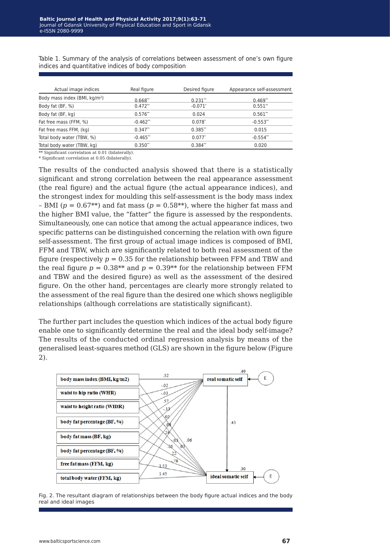| Actual image indices                      | Real figure | Desired figure | Appearance self-assessment |
|-------------------------------------------|-------------|----------------|----------------------------|
| Body mass index (BMI, kg/m <sup>2</sup> ) | $0.668**$   | $0.231**$      | $0.469**$                  |
| Body fat (BF, %)                          | $0.472**$   | $-0.071*$      | $0.551**$                  |
| Body fat (BF, kg)                         | $0.576**$   | 0.024          | $0.561**$                  |
| Fat free mass (FFM, %)                    | $-0.462**$  | $0.078*$       | $-0.553**$                 |
| Fat free mass FFM, (kg)                   | $0.347**$   | $0.385**$      | 0.015                      |
| Total body water (TBW, %)                 | $-0.465**$  | $0.077*$       | $-0.554**$                 |
| Total body water (TBW, kg)                | $0.350**$   | $0.384**$      | 0.020                      |

Table 1. Summary of the analysis of correlations between assessment of one's own figure indices and quantitative indices of body composition

\*\* Significant correlation at 0.01 (bilaterally).

\* Significant correlation at 0.05 (bilaterally).

The results of the conducted analysis showed that there is a statistically significant and strong correlation between the real appearance assessment (the real figure) and the actual figure (the actual appearance indices), and the strongest index for moulding this self-assessment is the body mass index – BMI ( $p = 0.67$ <sup>\*\*</sup>) and fat mass ( $p = 0.58$ <sup>\*\*</sup>), where the higher fat mass and the higher BMI value, the "fatter" the figure is assessed by the respondents. Simultaneously, one can notice that among the actual appearance indices, two specific patterns can be distinguished concerning the relation with own figure self-assessment. The first group of actual image indices is composed of BMI, FFM and TBW, which are significantly related to both real assessment of the figure (respectively  $p = 0.35$  for the relationship between FFM and TBW and the real figure  $p = 0.38**$  and  $p = 0.39**$  for the relationship between FFM and TBW and the desired figure) as well as the assessment of the desired figure. On the other hand, percentages are clearly more strongly related to the assessment of the real figure than the desired one which shows negligible relationships (although correlations are statistically significant).

The further part includes the question which indices of the actual body figure enable one to significantly determine the real and the ideal body self-image? The results of the conducted ordinal regression analysis by means of the generalised least-squares method (GLS) are shown in the figure below (Figure 2).



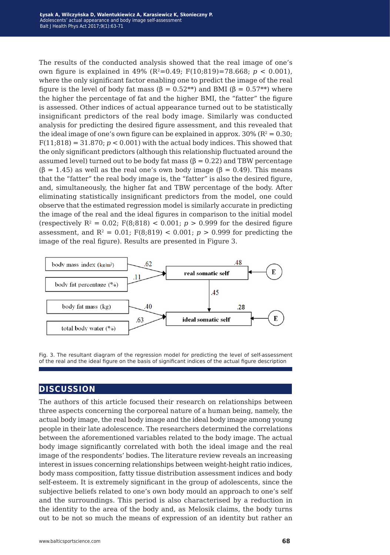The results of the conducted analysis showed that the real image of one's own figure is explained in 49% ( $R^2$ =0.49; F(10;819)=78.668;  $p < 0.001$ ), where the only significant factor enabling one to predict the image of the real figure is the level of body fat mass ( $\beta = 0.52^{**}$ ) and BMI ( $\beta = 0.57^{**}$ ) where the higher the percentage of fat and the higher BMI, the "fatter" the figure is assessed. Other indices of actual appearance turned out to be statistically insignificant predictors of the real body image. Similarly was conducted analysis for predicting the desired figure assessment, and this revealed that the ideal image of one's own figure can be explained in approx.  $30\%$  ( $R^2 = 0.30$ ;  $F(11;818) = 31.870$ ;  $p < 0.001$ ) with the actual body indices. This showed that the only significant predictors (although this relationship fluctuated around the assumed level) turned out to be body fat mass  $(6 = 0.22)$  and TBW percentage  $(6 = 1.45)$  as well as the real one's own body image  $(6 = 0.49)$ . This means that the "fatter" the real body image is, the "fatter" is also the desired figure, and, simultaneously, the higher fat and TBW percentage of the body. After eliminating statistically insignificant predictors from the model, one could observe that the estimated regression model is similarly accurate in predicting the image of the real and the ideal figures in comparison to the initial model (respectively  $R^2 = 0.02$ ;  $F(8.818) < 0.001$ ;  $p > 0.999$  for the desired figure assessment, and  $R^2 = 0.01$ ;  $F(8,819) < 0.001$ ;  $p > 0.999$  for predicting the image of the real figure). Results are presented in Figure 3.



Fig. 3. The resultant diagram of the regression model for predicting the level of self-assessment of the real and the ideal figure on the basis of significant indices of the actual figure description

#### **discussion**

The authors of this article focused their research on relationships between three aspects concerning the corporeal nature of a human being, namely, the actual body image, the real body image and the ideal body image among young people in their late adolescence. The researchers determined the correlations between the aforementioned variables related to the body image. The actual body image significantly correlated with both the ideal image and the real image of the respondents' bodies. The literature review reveals an increasing interest in issues concerning relationships between weight-height ratio indices, body mass composition, fatty tissue distribution assessment indices and body self-esteem. It is extremely significant in the group of adolescents, since the subjective beliefs related to one's own body mould an approach to one's self and the surroundings. This period is also characterised by a reduction in the identity to the area of the body and, as Melosik claims, the body turns out to be not so much the means of expression of an identity but rather an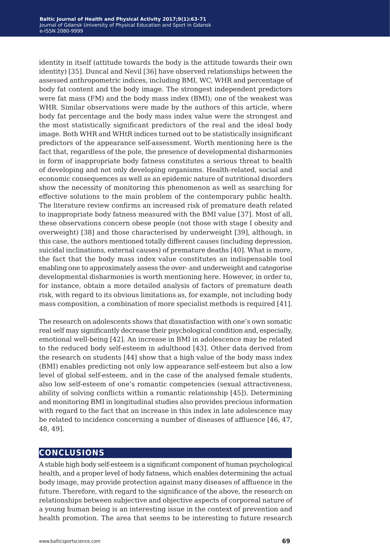identity in itself (attitude towards the body is the attitude towards their own identity) [35]. Duncal and Nevil [36] have observed relationships between the assessed anthropometric indices, including BMI, WC, WHR and percentage of body fat content and the body image. The strongest independent predictors were fat mass (FM) and the body mass index (BMI); one of the weakest was WHR. Similar observations were made by the authors of this article, where body fat percentage and the body mass index value were the strongest and the most statistically significant predictors of the real and the ideal body image. Both WHR and WHtR indices turned out to be statistically insignificant predictors of the appearance self-assessment. Worth mentioning here is the fact that, regardless of the pole, the presence of developmental disharmonies in form of inappropriate body fatness constitutes a serious threat to health of developing and not only developing organisms. Health-related, social and economic consequences as well as an epidemic nature of nutritional disorders show the necessity of monitoring this phenomenon as well as searching for effective solutions to the main problem of the contemporary public health. The literature review confirms an increased risk of premature death related to inappropriate body fatness measured with the BMI value [37]. Most of all, these observations concern obese people (not those with stage I obesity and overweight) [38] and those characterised by underweight [39], although, in this case, the authors mentioned totally different causes (including depression, suicidal inclinations, external causes) of premature deaths [40]. What is more, the fact that the body mass index value constitutes an indispensable tool enabling one to approximately assess the over- and underweight and categorise developmental disharmonies is worth mentioning here. However, in order to, for instance, obtain a more detailed analysis of factors of premature death risk, with regard to its obvious limitations as, for example, not including body mass composition, a combination of more specialist methods is required [41].

The research on adolescents shows that dissatisfaction with one's own somatic real self may significantly decrease their psychological condition and, especially, emotional well-being [42]. An increase in BMI in adolescence may be related to the reduced body self-esteem in adulthood [43]. Other data derived from the research on students [44] show that a high value of the body mass index (BMI) enables predicting not only low appearance self-esteem but also a low level of global self-esteem, and in the case of the analysed female students, also low self-esteem of one's romantic competencies (sexual attractiveness, ability of solving conflicts within a romantic relationship [45]). Determining and monitoring BMI in longitudinal studies also provides precious information with regard to the fact that an increase in this index in late adolescence may be related to incidence concerning a number of diseases of affluence [46, 47, 48, 49].

### **conclusions**

A stable high body self-esteem is a significant component of human psychological health, and a proper level of body fatness, which enables determining the actual body image, may provide protection against many diseases of affluence in the future. Therefore, with regard to the significance of the above, the research on relationships between subjective and objective aspects of corporeal nature of a young human being is an interesting issue in the context of prevention and health promotion. The area that seems to be interesting to future research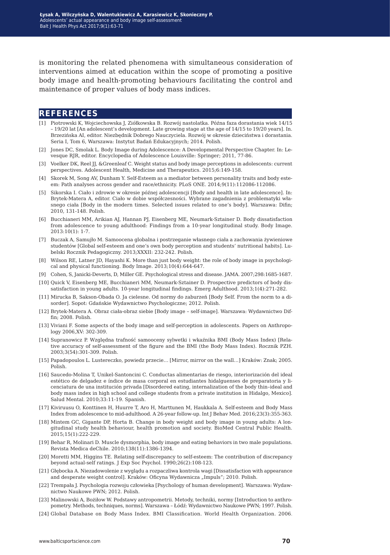is monitoring the related phenomena with simultaneous consideration of interventions aimed at education within the scope of promoting a positive body image and health-promoting behaviours facilitating the control and maintenance of proper values of body mass indices.

#### **references**

- [1] Piotrowski K, Wojciechowska J, Ziółkowska B. Rozwój nastolatka. Późna faza dorastania wiek 14/15 – 19/20 lat [An adolescent's development. Late growing stage at the age of 14/15 to 19/20 years]. In. Brzezińska AI, editor. Niezbędnik Dobrego Nauczyciela. Rozwój w okresie dzieciństwa i dorastania. Seria I, Tom 6, Warszawa: Instytut Badań Edukacyjnych; 2014. Polish.
- [2] Jones DC, Smolak L. Body Image during Adolescence: A Developmental Perspective Chapter. In: Levesque RJR, editor. Encyclopedia of Adolescence Louisville: Springer; 2011, 77-86.
- [3] Voelker DK, Reel JJ, &Greenleaf C. Weight status and body image perceptions in adolescents: current perspectives. Adolescent Health, Medicine and Therapeutics. 2015;6:149-158.
- [4] Skorek M, Song AV, Dunham Y. Self-Esteem as a mediator between personality traits and body esteem: Path analyses across gender and race/ethnicity. PLoS ONE. 2014;9(11):112086-112086.
- [5] Sikorska I. Ciało i zdrowie w okresie późnej adolescencji [Body and health in late adolescence]. In: Brytek-Matera A, editor. Ciało w dobie współczesności. Wybrane zagadnienia z problematyki własnego ciała [Body in the modern times. Selected issues related to one's body]. Warszawa: Difin; 2010, 131-148. Polish.
- [6] Bucchianeri MM, Arikian AJ, Hannan PJ, Eisenberg ME, Neumark-Sztainer D. Body dissatisfaction from adolescence to young adulthood: Findings from a 10-year longitudinal study. Body Image. 2013:10(1): 1-7.
- [7] Buczak A, Samujło M. Samoocena globalna i postrzeganie własnego ciała a zachowania żywieniowe studentów [Global self-esteem and one's own body perception and students' nutritional habits]. Lubelski Rocznik Pedagogiczny. 2013;XXXII: 232-242. Polish.
- [8] Wilson RE, Latner JD, Hayashi K. More than just body weight: the role of body image in psychological and physical functioning. Body Image. 2013;10(4):644-647.
- [9] Cohen, S, Janicki-Deverts, D, Miller GE. Psychological stress and disease. JAMA. 2007;298:1685-1687.
- [10] Quick V, Eisenberg ME, Bucchianeri MM, Neumark-Sztainer D. Prospective predictors of body dissatisfaction in young adults. 10-year longitudinal findings. Emerg Adulthood. 2013;1(4):271-282.
- [11] Mirucka B, Sakson-Obada O. Ja cielesne. Od normy do zaburzeń [Body Self. From the norm to a disorder]. Sopot: Gdańskie Wydawnictwo Psychologiczne; 2012. Polish.
- [12] Brytek-Matera A. Obraz ciała-obraz siebie [Body image self-image]. Warszawa: Wydawnictwo Diffin; 2008. Polish.
- [13] Viviani F. Some aspects of the body image and self-perception in adolescents. Papers on Anthropology 2006,XV: 302-309.
- [14] Supranowicz P. Względna trafność samooceny sylwetki i wkaźnika BMI (Body Mass Index) [Relative accuracy of self-assessment of the figure and the BMI (the Body Mass Index). Rocznik PZH. 2003;3(54):301-309. Polish.
- [15] Papadopoulos L. Lustereczko, powiedz przecie… [Mirror, mirror on the wall…] Kraków: Znak; 2005. Polish.
- [16] Saucedo-Molina T, Unikel-Santoncini C. Conductas alimentarias de riesgo, interiorización del ideal estético de delgadez e índice de masa corporal en estudiantes hidalguenses de preparatoria y licenciatura de una institución privada [Disordered eating, internalization of the body thin–ideal and body mass index in high school and college students from a private institution in Hidalgo, Mexico]. Salud Mental. 2010;33:11-19. Spanish.
- [17] Kiviruusu O, Konttinen H, Huurre T, Aro H, Marttunen M, Haukkala A. Self-esteem and Body Mass Index from adolescence to mid-adulthood. A 26-year follow-up. Int J Behav Med. 2016;23(3):355-363.
- [18] Mintem GC, Gigante DP, Horta B. Change in body weight and body image in young adults: A longitudinal study health behaviour, health promotion and society. BioMed Central Public Health. 2015;15(1):222-229.
- [19] Behar R, Molinari D. Muscle dysmorphia, body image and eating behaviors in two male populations. Revista Medica deChile. 2010;138(11):1386-1394.
- [20] Moretti MM, Higgins TE. Relating self-discrepancy to self-esteem: The contribution of discrepancy beyond actual-self ratings. J Exp Soc Psychol. 1990;26(2):108-123.
- [21] Głębocka A. Niezadowolenie z wyglądu a rozpaczliwa kontrola wagi [Dissatisfaction with appearance and desperate weight control]. Kraków: Oficyna Wydawnicza "Impuls"; 2010. Polish.
- [22] Trempała J. Psychologia rozwoju człowieka [Psychology of human development]. Warszawa: Wydawnictwo Naukowe PWN; 2012. Polish.
- [23] Malinowski A, Bożiłow W. Podstawy antropometrii. Metody, techniki, normy [Introduction to anthropometry. Methods, techniques, norms]. Warszawa – Łódź: Wydawnictwo Naukowe PWN; 1997. Polish.
- [24] Global Database on Body Mass Index. BMI Classification. World Health Organization. 2006.